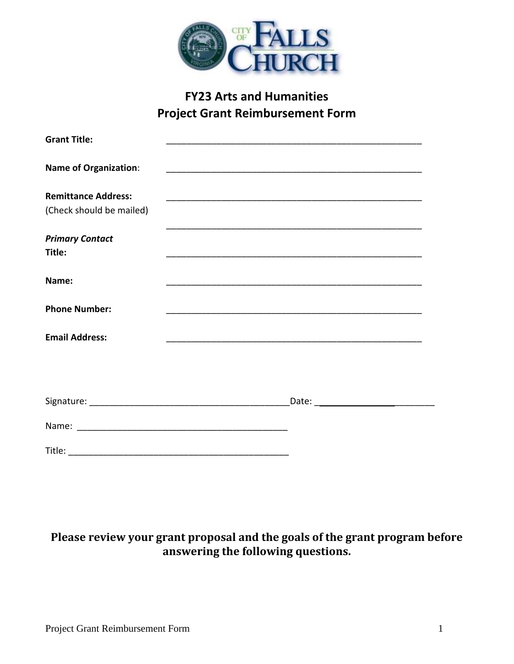

## **FY23 Arts and Humanities Project Grant Reimbursement Form**

| <b>Grant Title:</b>                                    |  |
|--------------------------------------------------------|--|
| <b>Name of Organization:</b>                           |  |
| <b>Remittance Address:</b><br>(Check should be mailed) |  |
|                                                        |  |
| <b>Primary Contact</b>                                 |  |
| Title:                                                 |  |
| Name:                                                  |  |
| <b>Phone Number:</b>                                   |  |
| <b>Email Address:</b>                                  |  |
|                                                        |  |
|                                                        |  |
|                                                        |  |
|                                                        |  |
|                                                        |  |

## **Please review your grant proposal and the goals of the grant program before answering the following questions.**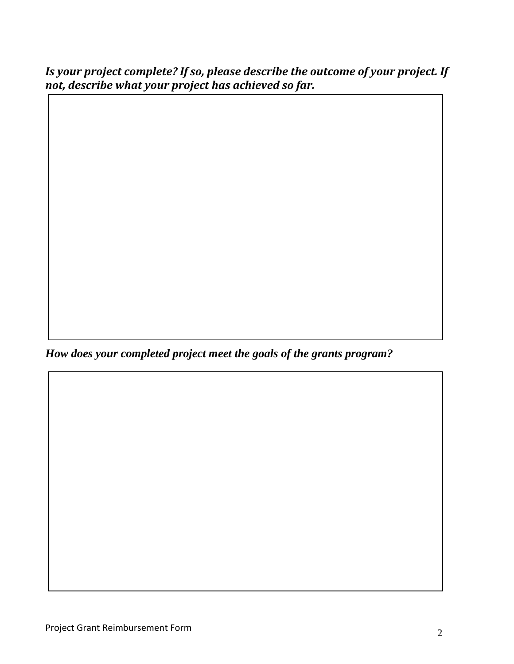*Is your project complete? If so, please describe the outcome of your project. If not, describe what your project has achieved so far.*

*How does your completed project meet the goals of the grants program?*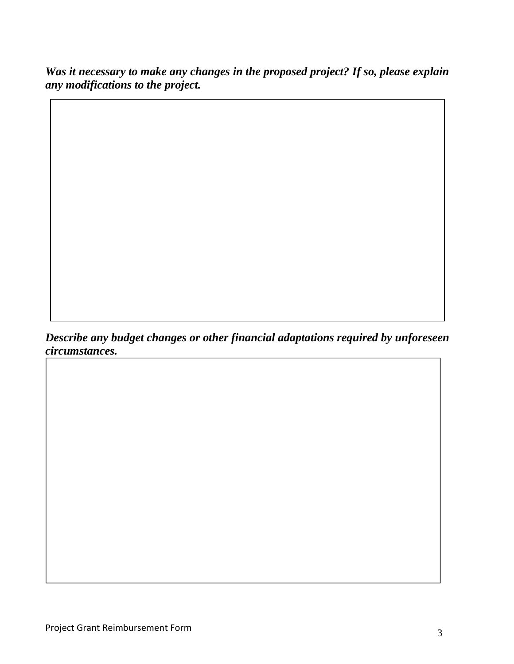*Was it necessary to make any changes in the proposed project? If so, please explain any modifications to the project.*

*Describe any budget changes or other financial adaptations required by unforeseen circumstances.*